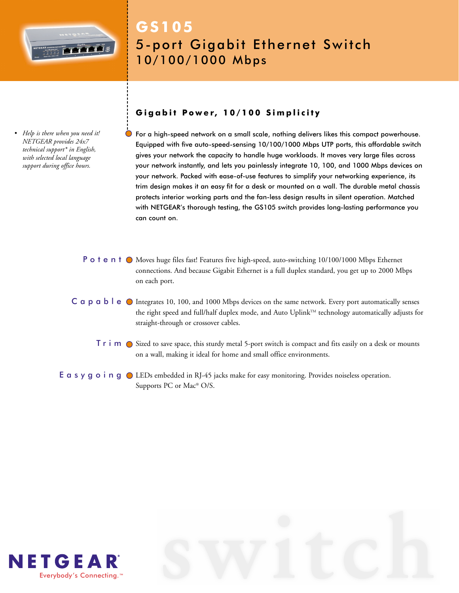

*• Help is there when you need it! NETGEAR provides 24x7 technical support\* in English, with selected local language support during office hours.*

# **GS105** 5-port Gigabit Ethernet Switch 10/100/1000 Mbps

# **Gigabit Power, 10/100 Simplicity**

For a high-speed network on a small scale, nothing delivers likes this compact powerhouse. Equipped with five auto-speed-sensing 10/100/1000 Mbps UTP ports, this affordable switch gives your network the capacity to handle huge workloads. It moves very large files across your network instantly, and lets you painlessly integrate 10, 100, and 1000 Mbps devices on your network. Packed with ease-of-use features to simplify your networking experience, its trim design makes it an easy fit for a desk or mounted on a wall. The durable metal chassis protects interior working parts and the fan-less design results in silent operation. Matched with NETGEAR's thorough testing, the GS105 switch provides long-lasting performance you can count on.

- **P o t e n t**  $\odot$  Moves huge files fast! Features five high-speed, auto-switching 10/100/1000 Mbps Ethernet connections. And because Gigabit Ethernet is a full duplex standard, you get up to 2000 Mbps on each port.
- C a p a b l e  $\bullet$  Integrates 10, 100, and 1000 Mbps devices on the same network. Every port automatically senses the right speed and full/half duplex mode, and Auto Uplink™ technology automatically adjusts for straight-through or crossover cables.
	- $\textsf{T}\texttt{r}$  i  $\textsf{m}\texttt{O}$  Sized to save space, this sturdy metal 5-port switch is compact and fits easily on a desk or mounts on a wall, making it ideal for home and small office environments.
- **E**  $\alpha$  s  $\gamma$   $\alpha$  o i  $\alpha$   $\beta$  LEDs embedded in RJ-45 jacks make for easy monitoring. Provides noiseless operation. Supports PC or Mac® O/S.